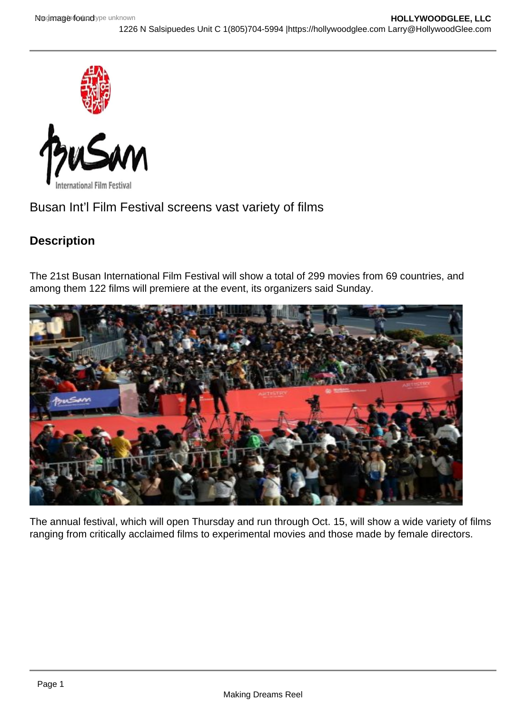



Busan Int'l Film Festival screens vast variety of films

## **Description**

The 21st Busan International Film Festival will show a total of 299 movies from 69 countries, and among them 122 films will premiere at the event, its organizers said Sunday.



The annual festival, which will open Thursday and run through Oct. 15, will show a wide variety of films ranging from critically acclaimed films to experimental movies and those made by female directors.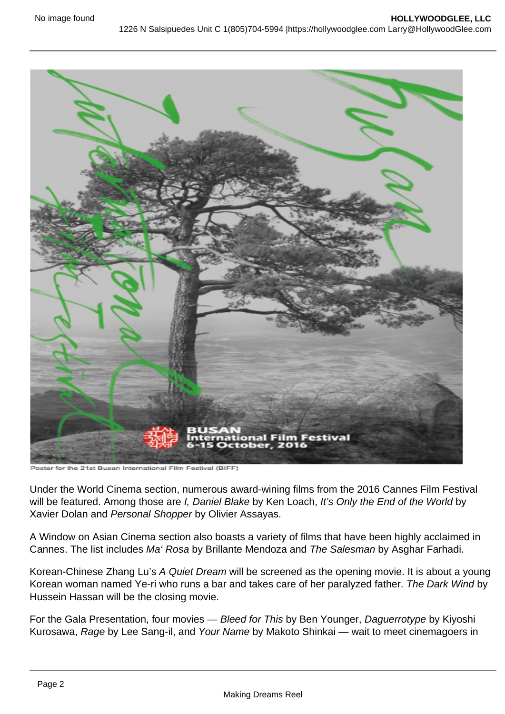

the 21st Busan International Film Festival (BIFF)

Under the World Cinema section, numerous award-wining films from the 2016 Cannes Film Festival will be featured. Among those are I, Daniel Blake by Ken Loach, It's Only the End of the World by Xavier Dolan and Personal Shopper by Olivier Assayas.

A Window on Asian Cinema section also boasts a variety of films that have been highly acclaimed in Cannes. The list includes Ma' Rosa by Brillante Mendoza and The Salesman by Asghar Farhadi.

Korean-Chinese Zhang Lu's A Quiet Dream will be screened as the opening movie. It is about a young Korean woman named Ye-ri who runs a bar and takes care of her paralyzed father. The Dark Wind by Hussein Hassan will be the closing movie.

For the Gala Presentation, four movies - Bleed for This by Ben Younger, Daguerrotype by Kiyoshi Kurosawa, Rage by Lee Sang-il, and Your Name by Makoto Shinkai — wait to meet cinemagoers in